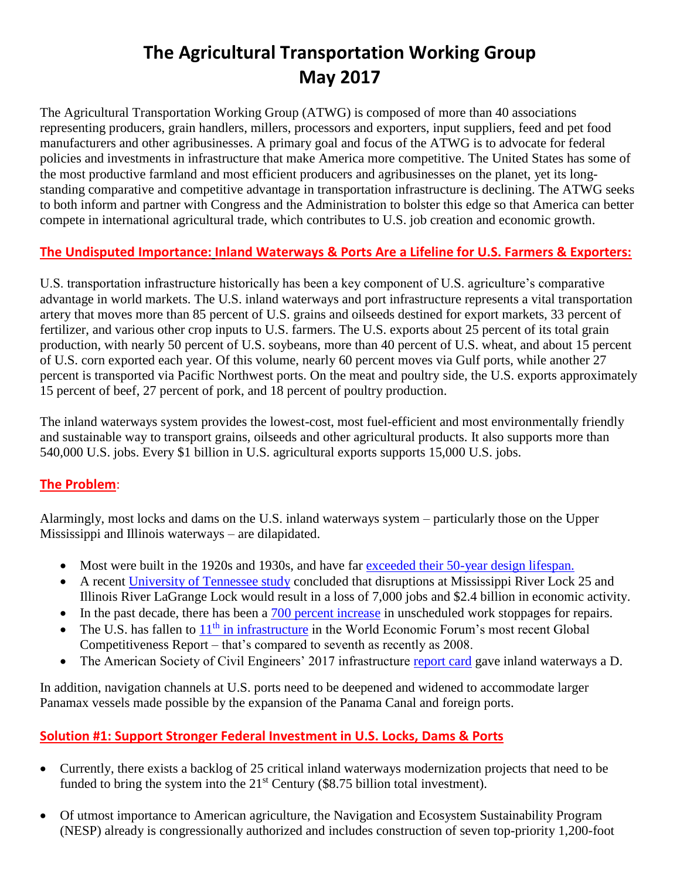# **The Agricultural Transportation Working Group May 2017**

The Agricultural Transportation Working Group (ATWG) is composed of more than 40 associations representing producers, grain handlers, millers, processors and exporters, input suppliers, feed and pet food manufacturers and other agribusinesses. A primary goal and focus of the ATWG is to advocate for federal policies and investments in infrastructure that make America more competitive. The United States has some of the most productive farmland and most efficient producers and agribusinesses on the planet, yet its longstanding comparative and competitive advantage in transportation infrastructure is declining. The ATWG seeks to both inform and partner with Congress and the Administration to bolster this edge so that America can better compete in international agricultural trade, which contributes to U.S. job creation and economic growth.

# **The Undisputed Importance: Inland Waterways & Ports Are a Lifeline for U.S. Farmers & Exporters:**

U.S. transportation infrastructure historically has been a key component of U.S. agriculture's comparative advantage in world markets. The U.S. inland waterways and port infrastructure represents a vital transportation artery that moves more than 85 percent of U.S. grains and oilseeds destined for export markets, 33 percent of fertilizer, and various other crop inputs to U.S. farmers. The U.S. exports about 25 percent of its total grain production, with nearly 50 percent of U.S. soybeans, more than 40 percent of U.S. wheat, and about 15 percent of U.S. corn exported each year. Of this volume, nearly 60 percent moves via Gulf ports, while another 27 percent is transported via Pacific Northwest ports. On the meat and poultry side, the U.S. exports approximately 15 percent of beef, 27 percent of pork, and 18 percent of poultry production.

The inland waterways system provides the lowest-cost, most fuel-efficient and most environmentally friendly and sustainable way to transport grains, oilseeds and other agricultural products. It also supports more than 540,000 U.S. jobs. Every \$1 billion in U.S. agricultural exports supports 15,000 U.S. jobs.

## **The Problem**:

Alarmingly, most locks and dams on the U.S. inland waterways system – particularly those on the Upper Mississippi and Illinois waterways – are dilapidated.

- Most were built in the 1920s and 1930s, and have far [exceeded their 50-year design lifespan.](https://www.workboat.com/news/coastal-inland-waterways/lockdown-decaying-inland-waterways-infrastructure/)
- A recent [University of Tennessee study](http://economics.ag.utk.edu/publications/logistics/EconomicImpactsInlandWaterwaysDisruptions092016.pdf) concluded that disruptions at Mississippi River Lock 25 and Illinois River LaGrange Lock would result in a loss of 7,000 jobs and \$2.4 billion in economic activity.
- In the past decade, there has been a [700 percent increase](http://waterwayscouncil.org/wp-content/uploads/2016/10/NESP2016FactSheetupdatedfinal.pdf) in unscheduled work stoppages for repairs.
- The U.S. has fallen to  $11<sup>th</sup>$  [in infrastructure](file:///C:/Users/bfrederick/Desktop/U.S.-TheGlobalCompetitivenessReport2016-2017_FINAL.pdf) in the World Economic Forum's most recent Global Competitiveness Report – that's compared to seventh as recently as 2008.
- The American Society of Civil Engineers' 2017 infrastructure [report card](https://www.infrastructurereportcard.org/cat-item/inland-waterways/) gave inland waterways a D.

In addition, navigation channels at U.S. ports need to be deepened and widened to accommodate larger Panamax vessels made possible by the expansion of the Panama Canal and foreign ports.

# **Solution #1: Support Stronger Federal Investment in U.S. Locks, Dams & Ports**

- Currently, there exists a backlog of 25 critical inland waterways modernization projects that need to be funded to bring the system into the  $21<sup>st</sup>$  Century (\$8.75 billion total investment).
- Of utmost importance to American agriculture, the Navigation and Ecosystem Sustainability Program (NESP) already is congressionally authorized and includes construction of seven top-priority 1,200-foot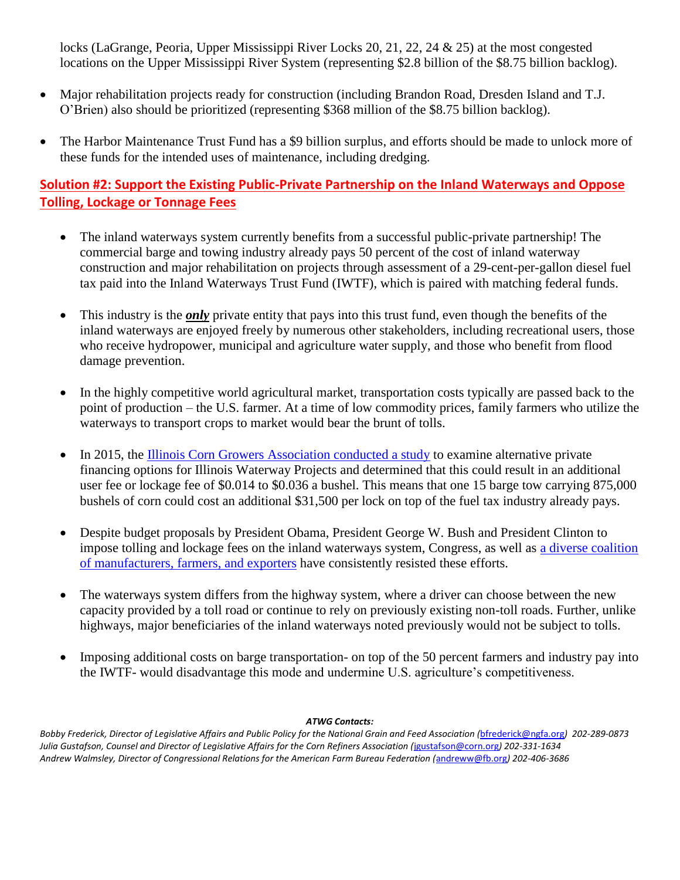locks (LaGrange, Peoria, Upper Mississippi River Locks 20, 21, 22, 24 & 25) at the most congested locations on the Upper Mississippi River System (representing \$2.8 billion of the \$8.75 billion backlog).

- Major rehabilitation projects ready for construction (including Brandon Road, Dresden Island and T.J. O'Brien) also should be prioritized (representing \$368 million of the \$8.75 billion backlog).
- The Harbor Maintenance Trust Fund has a \$9 billion surplus, and efforts should be made to unlock more of these funds for the intended uses of maintenance, including dredging.

## **Solution #2: Support the Existing Public-Private Partnership on the Inland Waterways and Oppose Tolling, Lockage or Tonnage Fees**

- The inland waterways system currently benefits from a successful public-private partnership! The commercial barge and towing industry already pays 50 percent of the cost of inland waterway construction and major rehabilitation on projects through assessment of a 29-cent-per-gallon diesel fuel tax paid into the Inland Waterways Trust Fund (IWTF), which is paired with matching federal funds.
- This industry is the *only* private entity that pays into this trust fund, even though the benefits of the inland waterways are enjoyed freely by numerous other stakeholders, including recreational users, those who receive hydropower, municipal and agriculture water supply, and those who benefit from flood damage prevention.
- In the highly competitive world agricultural market, transportation costs typically are passed back to the point of production – the U.S. farmer. At a time of low commodity prices, family farmers who utilize the waterways to transport crops to market would bear the brunt of tolls.
- In 2015, the [Illinois Corn Growers Association conducted a study](file:///C:/Users/bfrederick/Desktop/ICGA%20IWW%20Financing%20-%20%20for%20Stakeholders%20Meeting%20(24Feb)%20(short%20version).pdf) to examine alternative private financing options for Illinois Waterway Projects and determined that this could result in an additional user fee or lockage fee of \$0.014 to \$0.036 a bushel. This means that one 15 barge tow carrying 875,000 bushels of corn could cost an additional \$31,500 per lock on top of the fuel tax industry already pays.
- Despite budget proposals by President Obama, President George W. Bush and President Clinton to impose tolling and lockage fees on the inland waterways system, Congress, as well as [a diverse coalition](http://waterwayscouncil.org/wp-content/uploads/2013/01/P3-Senate-letter-final.pdf)  [of manufacturers, farmers, and exporters](http://waterwayscouncil.org/wp-content/uploads/2013/01/P3-Senate-letter-final.pdf) have consistently resisted these efforts.
- The waterways system differs from the highway system, where a driver can choose between the new capacity provided by a toll road or continue to rely on previously existing non-toll roads. Further, unlike highways, major beneficiaries of the inland waterways noted previously would not be subject to tolls.
- Imposing additional costs on barge transportation- on top of the 50 percent farmers and industry pay into the IWTF- would disadvantage this mode and undermine U.S. agriculture's competitiveness.

#### *ATWG Contacts:*

*Bobby Frederick, Director of Legislative Affairs and Public Policy for the National Grain and Feed Association (*[bfrederick@ngfa.org](mailto:bfrederick@ngfa.org)*) 202-289-0873 Julia Gustafson, Counsel and Director of Legislative Affairs for the Corn Refiners Association (*[jgustafson@corn.org](mailto:jgustafson@corn.org)*) 202-331-1634 Andrew Walmsley, Director of Congressional Relations for the American Farm Bureau Federation (*[andreww@fb.org](mailto:andreww@fb.org)*) 202-406-3686*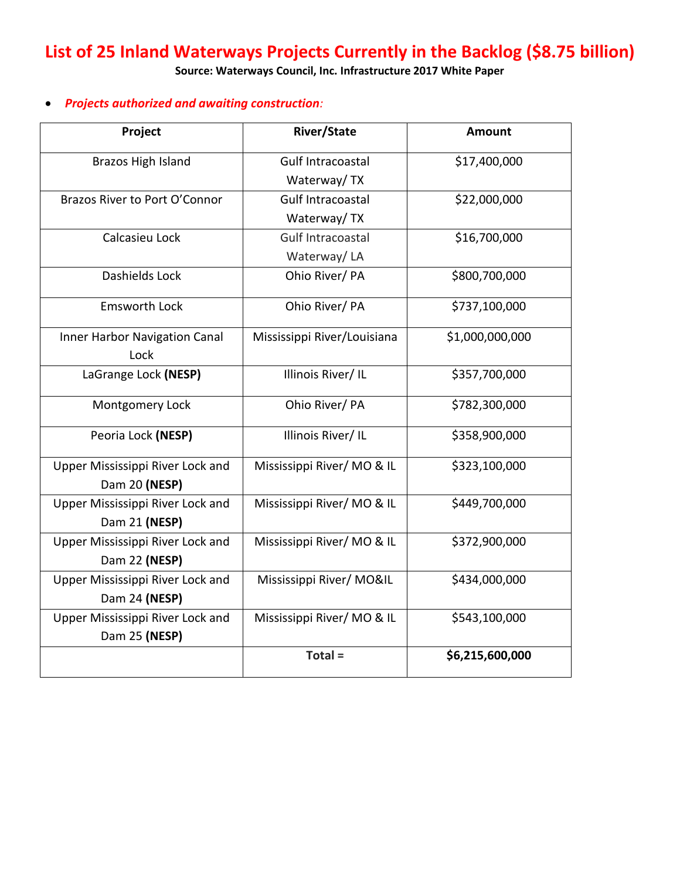# **List of 25 Inland Waterways Projects Currently in the Backlog (\$8.75 billion)**

**Source: Waterways Council, Inc. Infrastructure 2017 White Paper**

## *Projects authorized and awaiting construction:*

| Project                              | <b>River/State</b>          | Amount          |
|--------------------------------------|-----------------------------|-----------------|
| Brazos High Island                   | Gulf Intracoastal           | \$17,400,000    |
|                                      | Waterway/TX                 |                 |
| Brazos River to Port O'Connor        | <b>Gulf Intracoastal</b>    | \$22,000,000    |
|                                      | Waterway/TX                 |                 |
| Calcasieu Lock                       | <b>Gulf Intracoastal</b>    | \$16,700,000    |
|                                      | Waterway/LA                 |                 |
| Dashields Lock                       | Ohio River/ PA              | \$800,700,000   |
| <b>Emsworth Lock</b>                 | Ohio River/ PA              | \$737,100,000   |
| <b>Inner Harbor Navigation Canal</b> | Mississippi River/Louisiana | \$1,000,000,000 |
| Lock                                 |                             |                 |
| LaGrange Lock (NESP)                 | Illinois River/IL           | \$357,700,000   |
| Montgomery Lock                      | Ohio River/ PA              | \$782,300,000   |
| Peoria Lock (NESP)                   | Illinois River/ IL          | \$358,900,000   |
| Upper Mississippi River Lock and     | Mississippi River/MO & IL   | \$323,100,000   |
| Dam 20 (NESP)                        |                             |                 |
| Upper Mississippi River Lock and     | Mississippi River/MO & IL   | \$449,700,000   |
| Dam 21 (NESP)                        |                             |                 |
| Upper Mississippi River Lock and     | Mississippi River/ MO & IL  | \$372,900,000   |
| Dam 22 (NESP)                        |                             |                 |
| Upper Mississippi River Lock and     | Mississippi River/ MO&IL    | \$434,000,000   |
| Dam 24 (NESP)                        |                             |                 |
| Upper Mississippi River Lock and     | Mississippi River/MO & IL   | \$543,100,000   |
| Dam 25 (NESP)                        |                             |                 |
|                                      | Total =                     | \$6,215,600,000 |